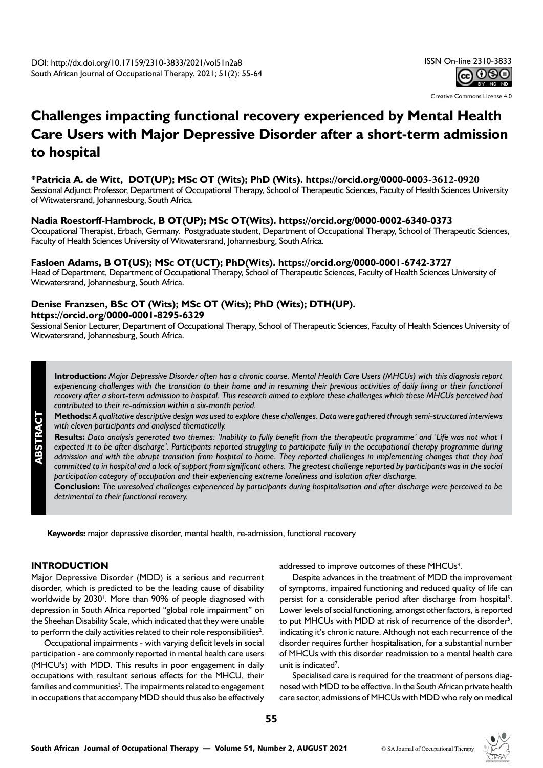Creative Commons License 4.0

# **Challenges impacting functional recovery experienced by Mental Health Care Users with Major Depressive Disorder after a short-term admission to hospital**

#### **\*Patricia A. de Witt, DOT(UP); MSc OT (Wits); PhD (Wits). https://orcid.org/0000-0003-3612-0920**

Sessional Adjunct Professor, Department of Occupational Therapy, School of Therapeutic Sciences, Faculty of Health Sciences University of Witwatersrand, Johannesburg, South Africa.

#### **Nadia Roestorff-Hambrock, B OT(UP); MSc OT(Wits). https://orcid.org/0000-0002-6340-0373**

Occupational Therapist, Erbach, Germany. Postgraduate student, Department of Occupational Therapy, School of Therapeutic Sciences, Faculty of Health Sciences University of Witwatersrand, Johannesburg, South Africa.

### **Fasloen Adams, B OT(US); MSc OT(UCT); PhD(Wits). https://orcid.org/0000-0001-6742-3727**

Head of Department, Department of Occupational Therapy, School of Therapeutic Sciences, Faculty of Health Sciences University of Witwatersrand, Johannesburg, South Africa.

## **Denise Franzsen, BSc OT (Wits); MSc OT (Wits); PhD (Wits); DTH(UP).**

**https://orcid.org/0000-0001-8295-6329**

Sessional Senior Lecturer, Department of Occupational Therapy, School of Therapeutic Sciences, Faculty of Health Sciences University of Witwatersrand, Johannesburg, South Africa.

**Introduction:** *Major Depressive Disorder often has a chronic course. Mental Health Care Users (MHCUs) with this diagnosis report experiencing challenges with the transition to their home and in resuming their previous activities of daily living or their functional recovery after a short-term admission to hospital. This research aimed to explore these challenges which these MHCUs perceived had contributed to their re-admission within a six-month period.*

**Methods:** *A qualitative descriptive design was used to explore these challenges. Data were gathered through semi-structured interviews with eleven participants and analysed thematically.* 

**Results:** *Data analysis generated two themes: 'Inability to fully benefit from the therapeutic programme' and 'Life was not what I expected it to be after discharge'. Participants reported struggling to participate fully in the occupational therapy programme during admission and with the abrupt transition from hospital to home. They reported challenges in implementing changes that they had committed to in hospital and a lack of support from significant others. The greatest challenge reported by participants was in the social participation category of occupation and their experiencing extreme loneliness and isolation after discharge.* 

**Conclusion:** *The unresolved challenges experienced by participants during hospitalisation and after discharge were perceived to be detrimental to their functional recovery.* 

**Keywords:** major depressive disorder, mental health, re-admission, functional recovery

#### **INTRODUCTION**

**ABSTRACT**

Major Depressive Disorder (MDD) is a serious and recurrent disorder, which is predicted to be the leading cause of disability worldwide by 2030<sup>1</sup>. More than 90% of people diagnosed with depression in South Africa reported "global role impairment" on the Sheehan Disability Scale, which indicated that they were unable to perform the daily activities related to their role responsibilities<sup>2</sup>.

Occupational impairments - with varying deficit levels in social participation - are commonly reported in mental health care users (MHCU's) with MDD. This results in poor engagement in daily occupations with resultant serious effects for the MHCU, their families and communities<sup>3</sup>. The impairments related to engagement in occupations that accompany MDD should thus also be effectively addressed to improve outcomes of these MHCUs<sup>4</sup>.

Despite advances in the treatment of MDD the improvement of symptoms, impaired functioning and reduced quality of life can persist for a considerable period after discharge from hospital<sup>5</sup>. Lower levels of social functioning, amongst other factors, is reported to put MHCUs with MDD at risk of recurrence of the disorder<sup>6</sup>, indicating it's chronic nature. Although not each recurrence of the disorder requires further hospitalisation, for a substantial number of MHCUs with this disorder readmission to a mental health care unit is indicated<sup>7</sup>.

Specialised care is required for the treatment of persons diagnosed with MDD to be effective. In the South African private health care sector, admissions of MHCUs with MDD who rely on medical

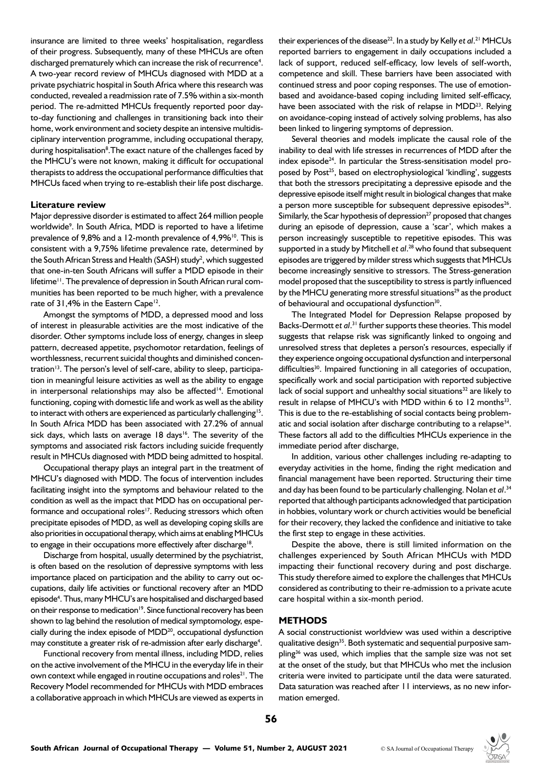insurance are limited to three weeks' hospitalisation, regardless of their progress. Subsequently, many of these MHCUs are often discharged prematurely which can increase the risk of recurrence<sup>4</sup>. A two-year record review of MHCUs diagnosed with MDD at a private psychiatric hospital in South Africa where this research was conducted, revealed a readmission rate of 7.5% within a six-month period. The re-admitted MHCUs frequently reported poor dayto-day functioning and challenges in transitioning back into their home, work environment and society despite an intensive multidisciplinary intervention programme, including occupational therapy, during hospitalisation<sup>8</sup>. The exact nature of the challenges faced by the MHCU's were not known, making it difficult for occupational therapists to address the occupational performance difficulties that MHCUs faced when trying to re-establish their life post discharge.

#### **Literature review**

Major depressive disorder is estimated to affect 264 million people worldwide<sup>9</sup>. In South Africa, MDD is reported to have a lifetime prevalence of 9,8% and a 12-month prevalence of 4,9%<sup>10</sup>. This is consistent with a 9,75% lifetime prevalence rate, determined by the South African Stress and Health (SASH) study<sup>2</sup>, which suggested that one-in-ten South Africans will suffer a MDD episode in their lifetime<sup>11</sup>. The prevalence of depression in South African rural communities has been reported to be much higher, with a prevalence rate of 31,4% in the Eastern Cape<sup>12</sup>.

Amongst the symptoms of MDD, a depressed mood and loss of interest in pleasurable activities are the most indicative of the disorder. Other symptoms include loss of energy, changes in sleep pattern, decreased appetite, psychomotor retardation, feelings of worthlessness, recurrent suicidal thoughts and diminished concentration<sup>13</sup>. The person's level of self-care, ability to sleep, participation in meaningful leisure activities as well as the ability to engage in interpersonal relationships may also be affected<sup>14</sup>. Emotional functioning, coping with domestic life and work as well as the ability to interact with others are experienced as particularly challenging<sup>15</sup>. In South Africa MDD has been associated with 27.2% of annual sick days, which lasts on average  $18 \text{ days}^{16}$ . The severity of the symptoms and associated risk factors including suicide frequently result in MHCUs diagnosed with MDD being admitted to hospital.

Occupational therapy plays an integral part in the treatment of MHCU's diagnosed with MDD. The focus of intervention includes facilitating insight into the symptoms and behaviour related to the condition as well as the impact that MDD has on occupational performance and occupational roles<sup>17</sup>. Reducing stressors which often precipitate episodes of MDD, as well as developing coping skills are also priorities in occupational therapy, which aims at enabling MHCUs to engage in their occupations more effectively after discharge<sup>18</sup>.

Discharge from hospital, usually determined by the psychiatrist, is often based on the resolution of depressive symptoms with less importance placed on participation and the ability to carry out occupations, daily life activities or functional recovery after an MDD episode<sup>4</sup>. Thus, many MHCU's are hospitalised and discharged based on their response to medication<sup>19</sup>. Since functional recovery has been shown to lag behind the resolution of medical symptomology, especially during the index episode of MDD<sup>20</sup>, occupational dysfunction may constitute a greater risk of re-admission after early discharge<sup>4</sup>.

Functional recovery from mental illness, including MDD, relies on the active involvement of the MHCU in the everyday life in their own context while engaged in routine occupations and roles<sup>21</sup>. The Recovery Model recommended for MHCUs with MDD embraces a collaborative approach in which MHCUs are viewed as experts in

their experiences of the disease<sup>22</sup>. In a study by Kelly et al.<sup>21</sup> MHCUs reported barriers to engagement in daily occupations included a lack of support, reduced self-efficacy, low levels of self-worth, competence and skill. These barriers have been associated with continued stress and poor coping responses. The use of emotionbased and avoidance-based coping including limited self-efficacy, have been associated with the risk of relapse in MDD<sup>23</sup>. Relying on avoidance-coping instead of actively solving problems, has also been linked to lingering symptoms of depression.

Several theories and models implicate the causal role of the inability to deal with life stresses in recurrences of MDD after the index episode<sup>24</sup>. In particular the Stress-sensitisation model proposed by Post<sup>25</sup>, based on electrophysiological 'kindling', suggests that both the stressors precipitating a depressive episode and the depressive episode itself might result in biological changes that make a person more susceptible for subsequent depressive episodes<sup>26</sup>. Similarly, the Scar hypothesis of depression<sup>27</sup> proposed that changes during an episode of depression, cause a 'scar', which makes a person increasingly susceptible to repetitive episodes. This was supported in a study by Mitchell *et al*. 28 who found that subsequent episodes are triggered by milder stress which suggests that MHCUs become increasingly sensitive to stressors. The Stress-generation model proposed that the susceptibility to stress is partly influenced by the MHCU generating more stressful situations<sup>29</sup> as the product of behavioural and occupational dysfunction<sup>30</sup>.

The Integrated Model for Depression Relapse proposed by Backs-Dermott et al.<sup>31</sup> further supports these theories. This model suggests that relapse risk was significantly linked to ongoing and unresolved stress that depletes a person's resources, especially if they experience ongoing occupational dysfunction and interpersonal difficulties<sup>30</sup>. Impaired functioning in all categories of occupation, specifically work and social participation with reported subjective lack of social support and unhealthy social situations<sup>32</sup> are likely to result in relapse of MHCU's with MDD within 6 to 12 months<sup>33</sup>. This is due to the re-establishing of social contacts being problematic and social isolation after discharge contributing to a relapse<sup>34</sup>. These factors all add to the difficulties MHCUs experience in the immediate period after discharge,

In addition, various other challenges including re-adapting to everyday activities in the home, finding the right medication and financial management have been reported. Structuring their time and day has been found to be particularly challenging. Nolan *et al*. 34 reported that although participants acknowledged that participation in hobbies, voluntary work or church activities would be beneficial for their recovery, they lacked the confidence and initiative to take the first step to engage in these activities.

Despite the above, there is still limited information on the challenges experienced by South African MHCUs with MDD impacting their functional recovery during and post discharge. This study therefore aimed to explore the challenges that MHCUs considered as contributing to their re-admission to a private acute care hospital within a six-month period.

#### **METHODS**

A social constructionist worldview was used within a descriptive qualitative design<sup>35</sup>. Both systematic and sequential purposive sampling<sup>36</sup> was used, which implies that the sample size was not set at the onset of the study, but that MHCUs who met the inclusion criteria were invited to participate until the data were saturated. Data saturation was reached after 11 interviews, as no new information emerged.

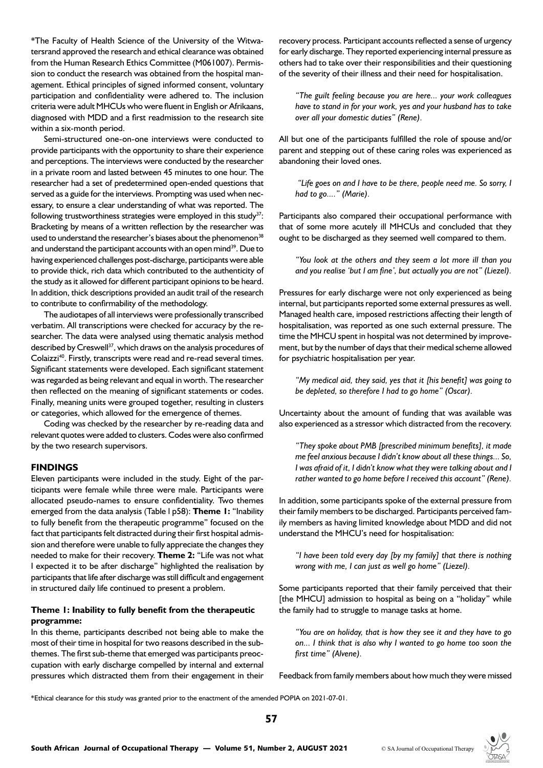\*The Faculty of Health Science of the University of the Witwatersrand approved the research and ethical clearance was obtained from the Human Research Ethics Committee (M061007). Permission to conduct the research was obtained from the hospital management. Ethical principles of signed informed consent, voluntary participation and confidentiality were adhered to. The inclusion criteria were adult MHCUs who were fluent in English or Afrikaans, diagnosed with MDD and a first readmission to the research site within a six-month period.

Semi-structured one-on-one interviews were conducted to provide participants with the opportunity to share their experience and perceptions. The interviews were conducted by the researcher in a private room and lasted between 45 minutes to one hour. The researcher had a set of predetermined open-ended questions that served as a guide for the interviews. Prompting was used when necessary, to ensure a clear understanding of what was reported. The following trustworthiness strategies were employed in this study<sup>37</sup>: Bracketing by means of a written reflection by the researcher was used to understand the researcher's biases about the phenomenon<sup>38</sup> and understand the participant accounts with an open mind<sup>39</sup>. Due to having experienced challenges post-discharge, participants were able to provide thick, rich data which contributed to the authenticity of the study as it allowed for different participant opinions to be heard. In addition, thick descriptions provided an audit trail of the research to contribute to confirmability of the methodology.

The audiotapes of all interviews were professionally transcribed verbatim. All transcriptions were checked for accuracy by the researcher. The data were analysed using thematic analysis method described by Creswell<sup>37</sup>, which draws on the analysis procedures of Colaizzi<sup>40</sup>. Firstly, transcripts were read and re-read several times. Significant statements were developed. Each significant statement was regarded as being relevant and equal in worth. The researcher then reflected on the meaning of significant statements or codes. Finally, meaning units were grouped together, resulting in clusters or categories, which allowed for the emergence of themes.

Coding was checked by the researcher by re-reading data and relevant quotes were added to clusters. Codes were also confirmed by the two research supervisors.

#### **FINDINGS**

Eleven participants were included in the study. Eight of the participants were female while three were male. Participants were allocated pseudo-names to ensure confidentiality. Two themes emerged from the data analysis (Table l p58): **Theme 1:** "Inability to fully benefit from the therapeutic programme" focused on the fact that participants felt distracted during their first hospital admission and therefore were unable to fully appreciate the changes they needed to make for their recovery. **Theme 2:** "Life was not what I expected it to be after discharge" highlighted the realisation by participants that life after discharge was still difficult and engagement in structured daily life continued to present a problem.

#### **Theme 1: Inability to fully benefit from the therapeutic programme:**

In this theme, participants described not being able to make the most of their time in hospital for two reasons described in the subthemes. The first sub-theme that emerged was participants preoccupation with early discharge compelled by internal and external pressures which distracted them from their engagement in their

recovery process. Participant accounts reflected a sense of urgency for early discharge. They reported experiencing internal pressure as others had to take over their responsibilities and their questioning of the severity of their illness and their need for hospitalisation.

*"The guilt feeling because you are here... your work colleagues have to stand in for your work, yes and your husband has to take over all your domestic duties" (Rene).* 

All but one of the participants fulfilled the role of spouse and/or parent and stepping out of these caring roles was experienced as abandoning their loved ones.

 *"Life goes on and I have to be there, people need me. So sorry, I had to go...." (Marie).*

Participants also compared their occupational performance with that of some more acutely ill MHCUs and concluded that they ought to be discharged as they seemed well compared to them.

*"You look at the others and they seem a lot more ill than you and you realise 'but I am fine', but actually you are not" (Liezel).*

Pressures for early discharge were not only experienced as being internal, but participants reported some external pressures as well. Managed health care, imposed restrictions affecting their length of hospitalisation, was reported as one such external pressure. The time the MHCU spent in hospital was not determined by improvement, but by the number of days that their medical scheme allowed for psychiatric hospitalisation per year.

*"My medical aid, they said, yes that it [his benefit] was going to be depleted, so therefore I had to go home" (Oscar).* 

Uncertainty about the amount of funding that was available was also experienced as a stressor which distracted from the recovery.

*"They spoke about PMB [prescribed minimum benefits], it made me feel anxious because I didn't know about all these things... So, I was afraid of it, I didn't know what they were talking about and I rather wanted to go home before I received this account" (Rene).*

In addition, some participants spoke of the external pressure from their family members to be discharged. Participants perceived family members as having limited knowledge about MDD and did not understand the MHCU's need for hospitalisation:

*"I have been told every day [by my family] that there is nothing wrong with me, I can just as well go home" (Liezel).*

Some participants reported that their family perceived that their [the MHCU] admission to hospital as being on a "holiday" while the family had to struggle to manage tasks at home.

*"You are on holiday, that is how they see it and they have to go on... I think that is also why I wanted to go home too soon the first time" (Alvene).* 

Feedback from family members about how much they were missed

\*Ethical clearance for this study was granted prior to the enactment of the amended POPIA on 2021-07-01.

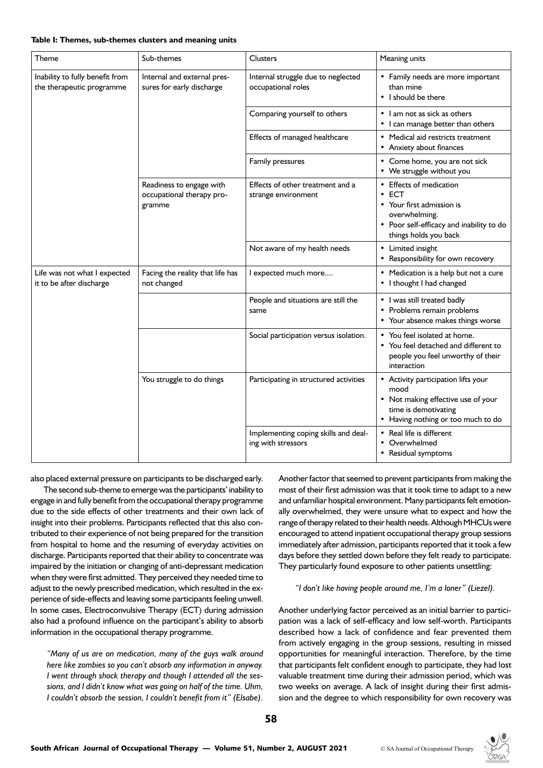#### **Table I: Themes, sub-themes clusters and meaning units**

| Theme                                                        | Sub-themes                                                      | <b>Clusters</b>                                            | Meaning units                                                                                                                                               |
|--------------------------------------------------------------|-----------------------------------------------------------------|------------------------------------------------------------|-------------------------------------------------------------------------------------------------------------------------------------------------------------|
| Inability to fully benefit from<br>the therapeutic programme | Internal and external pres-<br>sures for early discharge        | Internal struggle due to neglected<br>occupational roles   | • Family needs are more important<br>than mine<br>• I should be there                                                                                       |
|                                                              |                                                                 | Comparing yourself to others                               | • I am not as sick as others<br>• I can manage better than others                                                                                           |
|                                                              |                                                                 | Effects of managed healthcare                              | Medical aid restricts treatment<br>• Anxiety about finances                                                                                                 |
|                                                              |                                                                 | Family pressures                                           | • Come home, you are not sick<br>• We struggle without you                                                                                                  |
|                                                              | Readiness to engage with<br>occupational therapy pro-<br>gramme | Effects of other treatment and a<br>strange environment    | <b>Effects of medication</b><br><b>ECT</b><br>Your first admission is<br>overwhelming.<br>• Poor self-efficacy and inability to do<br>things holds you back |
|                                                              |                                                                 | Not aware of my health needs                               | Limited insight<br>Responsibility for own recovery                                                                                                          |
| Life was not what I expected<br>it to be after discharge     | Facing the reality that life has<br>not changed                 | I expected much more                                       | • Medication is a help but not a cure<br>• I thought I had changed                                                                                          |
|                                                              |                                                                 | People and situations are still the<br>same                | • I was still treated badly<br>• Problems remain problems<br>• Your absence makes things worse                                                              |
|                                                              |                                                                 | Social participation versus isolation.                     | • You feel isolated at home.<br>• You feel detached and different to<br>people you feel unworthy of their<br>interaction                                    |
|                                                              | You struggle to do things                                       | Participating in structured activities                     | • Activity participation lifts your<br>mood<br>• Not making effective use of your<br>time is demotivating<br>Having nothing or too much to do               |
|                                                              |                                                                 | Implementing coping skills and deal-<br>ing with stressors | Real life is different<br>Overwhelmed<br>Residual symptoms                                                                                                  |

also placed external pressure on participants to be discharged early.

The second sub-theme to emerge was the participants' inability to engage in and fully benefit from the occupational therapy programme due to the side effects of other treatments and their own lack of insight into their problems. Participants reflected that this also contributed to their experience of not being prepared for the transition from hospital to home and the resuming of everyday activities on discharge. Participants reported that their ability to concentrate was impaired by the initiation or changing of anti-depressant medication when they were first admitted. They perceived they needed time to adjust to the newly prescribed medication, which resulted in the experience of side-effects and leaving some participants feeling unwell. In some cases, Electroconvulsive Therapy (ECT) during admission also had a profound influence on the participant's ability to absorb information in the occupational therapy programme.

*"Many of us are on medication, many of the guys walk around here like zombies so you can't absorb any information in anyway. I went through shock therapy and though I attended all the sessions, and I didn't know what was going on half of the time. Uhm, I couldn't absorb the session, I couldn't benefit from it" (Elsabe).*

Another factor that seemed to prevent participants from making the most of their first admission was that it took time to adapt to a new and unfamiliar hospital environment. Many participants felt emotionally overwhelmed, they were unsure what to expect and how the range of therapy related to their health needs. Although MHCUs were encouraged to attend inpatient occupational therapy group sessions immediately after admission, participants reported that it took a few days before they settled down before they felt ready to participate. They particularly found exposure to other patients unsettling:

*"I don't like having people around me, I'm a loner" (Liezel).*

Another underlying factor perceived as an initial barrier to participation was a lack of self-efficacy and low self-worth. Participants described how a lack of confidence and fear prevented them from actively engaging in the group sessions, resulting in missed opportunities for meaningful interaction. Therefore, by the time that participants felt confident enough to participate, they had lost valuable treatment time during their admission period, which was two weeks on average. A lack of insight during their first admission and the degree to which responsibility for own recovery was

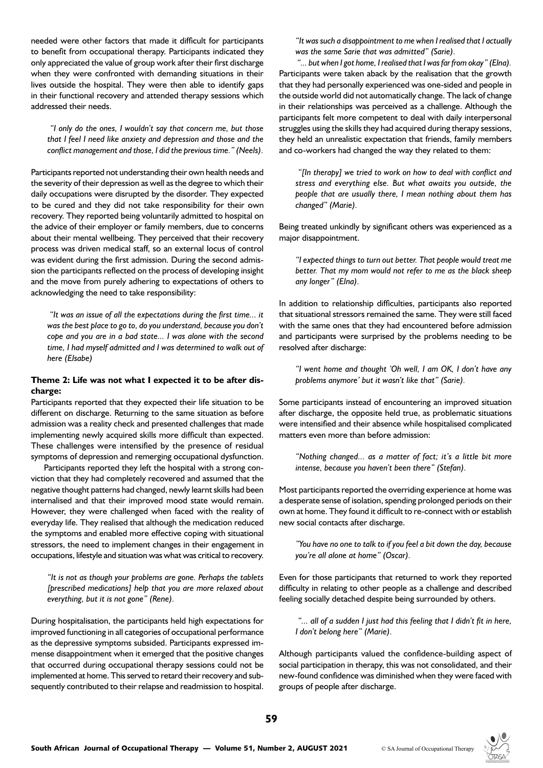needed were other factors that made it difficult for participants to benefit from occupational therapy. Participants indicated they only appreciated the value of group work after their first discharge when they were confronted with demanding situations in their lives outside the hospital. They were then able to identify gaps in their functional recovery and attended therapy sessions which addressed their needs.

 *"I only do the ones, I wouldn't say that concern me, but those that I feel I need like anxiety and depression and those and the conflict management and those, I did the previous time." (Neels).*

Participants reported not understanding their own health needs and the severity of their depression as well as the degree to which their daily occupations were disrupted by the disorder. They expected to be cured and they did not take responsibility for their own recovery. They reported being voluntarily admitted to hospital on the advice of their employer or family members, due to concerns about their mental wellbeing. They perceived that their recovery process was driven medical staff, so an external locus of control was evident during the first admission. During the second admission the participants reflected on the process of developing insight and the move from purely adhering to expectations of others to acknowledging the need to take responsibility:

 *"It was an issue of all the expectations during the first time... it was the best place to go to, do you understand, because you don't cope and you are in a bad state... I was alone with the second time, I had myself admitted and I was determined to walk out of here (Elsabe)*

#### **Theme 2: Life was not what I expected it to be after discharge:**

Participants reported that they expected their life situation to be different on discharge. Returning to the same situation as before admission was a reality check and presented challenges that made implementing newly acquired skills more difficult than expected. These challenges were intensified by the presence of residual symptoms of depression and remerging occupational dysfunction.

Participants reported they left the hospital with a strong conviction that they had completely recovered and assumed that the negative thought patterns had changed, newly learnt skills had been internalised and that their improved mood state would remain. However, they were challenged when faced with the reality of everyday life. They realised that although the medication reduced the symptoms and enabled more effective coping with situational stressors, the need to implement changes in their engagement in occupations, lifestyle and situation was what was critical to recovery.

*"It is not as though your problems are gone. Perhaps the tablets [prescribed medications] help that you are more relaxed about everything, but it is not gone" (Rene).* 

During hospitalisation, the participants held high expectations for improved functioning in all categories of occupational performance as the depressive symptoms subsided. Participants expressed immense disappointment when it emerged that the positive changes that occurred during occupational therapy sessions could not be implemented at home. This served to retard their recovery and subsequently contributed to their relapse and readmission to hospital.

*"It was such a disappointment to me when I realised that I actually was the same Sarie that was admitted" (Sarie).*

 *"... but when I got home, I realised that I was far from okay" (Elna).* Participants were taken aback by the realisation that the growth that they had personally experienced was one-sided and people in the outside world did not automatically change. The lack of change in their relationships was perceived as a challenge. Although the participants felt more competent to deal with daily interpersonal struggles using the skills they had acquired during therapy sessions, they held an unrealistic expectation that friends, family members and co-workers had changed the way they related to them:

 *"[In therapy] we tried to work on how to deal with conflict and stress and everything else. But what awaits you outside, the people that are usually there, I mean nothing about them has changed" (Marie).*

Being treated unkindly by significant others was experienced as a major disappointment.

*"I expected things to turn out better. That people would treat me better. That my mom would not refer to me as the black sheep any longer" (Elna).*

In addition to relationship difficulties, participants also reported that situational stressors remained the same. They were still faced with the same ones that they had encountered before admission and participants were surprised by the problems needing to be resolved after discharge:

*"I went home and thought 'Oh well, I am OK, I don't have any problems anymore' but it wasn't like that" (Sarie).* 

Some participants instead of encountering an improved situation after discharge, the opposite held true, as problematic situations were intensified and their absence while hospitalised complicated matters even more than before admission:

*"Nothing changed... as a matter of fact; it's a little bit more intense, because you haven't been there" (Stefan).*

Most participants reported the overriding experience at home was a desperate sense of isolation, spending prolonged periods on their own at home. They found it difficult to re-connect with or establish new social contacts after discharge.

*"You have no one to talk to if you feel a bit down the day, because you're all alone at home" (Oscar).*

Even for those participants that returned to work they reported difficulty in relating to other people as a challenge and described feeling socially detached despite being surrounded by others.

 *"... all of a sudden I just had this feeling that I didn't fit in here, I don't belong here" (Marie).*

Although participants valued the confidence-building aspect of social participation in therapy, this was not consolidated, and their new-found confidence was diminished when they were faced with groups of people after discharge.

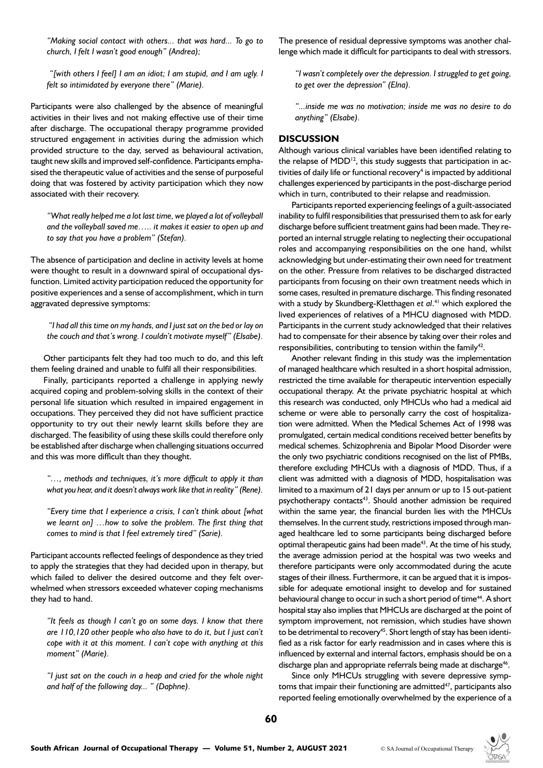*"Making social contact with others... that was hard... To go to church, I felt I wasn't good enough" (Andrea);* 

 *"[with others I feel] I am an idiot; I am stupid, and I am ugly. I felt so intimidated by everyone there" (Marie).*

Participants were also challenged by the absence of meaningful activities in their lives and not making effective use of their time after discharge. The occupational therapy programme provided structured engagement in activities during the admission which provided structure to the day, served as behavioural activation, taught new skills and improved self-confidence. Participants emphasised the therapeutic value of activities and the sense of purposeful doing that was fostered by activity participation which they now associated with their recovery.

*"What really helped me a lot last time, we played a lot of volleyball and the volleyball saved me….. it makes it easier to open up and to say that you have a problem" (Stefan).*

The absence of participation and decline in activity levels at home were thought to result in a downward spiral of occupational dysfunction. Limited activity participation reduced the opportunity for positive experiences and a sense of accomplishment, which in turn aggravated depressive symptoms:

 *"I had all this time on my hands, and I just sat on the bed or lay on the couch and that's wrong. I couldn't motivate myself" (Elsabe).*

Other participants felt they had too much to do, and this left them feeling drained and unable to fulfil all their responsibilities.

Finally, participants reported a challenge in applying newly acquired coping and problem-solving skills in the context of their personal life situation which resulted in impaired engagement in occupations. They perceived they did not have sufficient practice opportunity to try out their newly learnt skills before they are discharged. The feasibility of using these skills could therefore only be established after discharge when challenging situations occurred and this was more difficult than they thought.

*"…, methods and techniques, it's more difficult to apply it than what you hear, and it doesn't always work like that in reality" (Rene).*

*"Every time that I experience a crisis, I can't think about [what we learnt on] …how to solve the problem. The first thing that comes to mind is that I feel extremely tired" (Sarie).*

Participant accounts reflected feelings of despondence as they tried to apply the strategies that they had decided upon in therapy, but which failed to deliver the desired outcome and they felt overwhelmed when stressors exceeded whatever coping mechanisms they had to hand.

*"It feels as though I can't go on some days. I know that there are 110,120 other people who also have to do it, but I just can't cope with it at this moment. I can't cope with anything at this moment" (Marie).*

*"I just sat on the couch in a heap and cried for the whole night and half of the following day... " (Daphne).*

The presence of residual depressive symptoms was another challenge which made it difficult for participants to deal with stressors.

*"I wasn't completely over the depression. I struggled to get going, to get over the depression" (Elna).* 

*"...inside me was no motivation; inside me was no desire to do anything" (Elsabe).*

#### **DISCUSSION**

Although various clinical variables have been identified relating to the relapse of  $MDD^{12}$ , this study suggests that participation in activities of daily life or functional recovery<sup>4</sup> is impacted by additional challenges experienced by participants in the post-discharge period which in turn, contributed to their relapse and readmission.

Participants reported experiencing feelings of a guilt-associated inability to fulfil responsibilities that pressurised them to ask for early discharge before sufficient treatment gains had been made. They reported an internal struggle relating to neglecting their occupational roles and accompanying responsibilities on the one hand, whilst acknowledging but under-estimating their own need for treatment on the other. Pressure from relatives to be discharged distracted participants from focusing on their own treatment needs which in some cases, resulted in premature discharge. This finding resonated with a study by Skundberg-Kletthagen *et al*. 41 which explored the lived experiences of relatives of a MHCU diagnosed with MDD. Participants in the current study acknowledged that their relatives had to compensate for their absence by taking over their roles and responsibilities, contributing to tension within the family<sup>42</sup>.

Another relevant finding in this study was the implementation of managed healthcare which resulted in a short hospital admission, restricted the time available for therapeutic intervention especially occupational therapy. At the private psychiatric hospital at which this research was conducted, only MHCUs who had a medical aid scheme or were able to personally carry the cost of hospitalization were admitted. When the Medical Schemes Act of 1998 was promulgated, certain medical conditions received better benefits by medical schemes. Schizophrenia and Bipolar Mood Disorder were the only two psychiatric conditions recognised on the list of PMBs, therefore excluding MHCUs with a diagnosis of MDD. Thus, if a client was admitted with a diagnosis of MDD, hospitalisation was limited to a maximum of 21 days per annum or up to 15 out-patient psychotherapy contacts<sup>43</sup>. Should another admission be required within the same year, the financial burden lies with the MHCUs themselves. In the current study, restrictions imposed through managed healthcare led to some participants being discharged before optimal therapeutic gains had been made<sup>43</sup>. At the time of his study, the average admission period at the hospital was two weeks and therefore participants were only accommodated during the acute stages of their illness. Furthermore, it can be argued that it is impossible for adequate emotional insight to develop and for sustained behavioural change to occur in such a short period of time<sup>44</sup>. A short hospital stay also implies that MHCUs are discharged at the point of symptom improvement, not remission, which studies have shown to be detrimental to recovery<sup>45</sup>. Short length of stay has been identified as a risk factor for early readmission and in cases where this is influenced by external and internal factors, emphasis should be on a discharge plan and appropriate referrals being made at discharge<sup>46</sup>.

Since only MHCUs struggling with severe depressive symptoms that impair their functioning are admitted<sup>47</sup>, participants also reported feeling emotionally overwhelmed by the experience of a

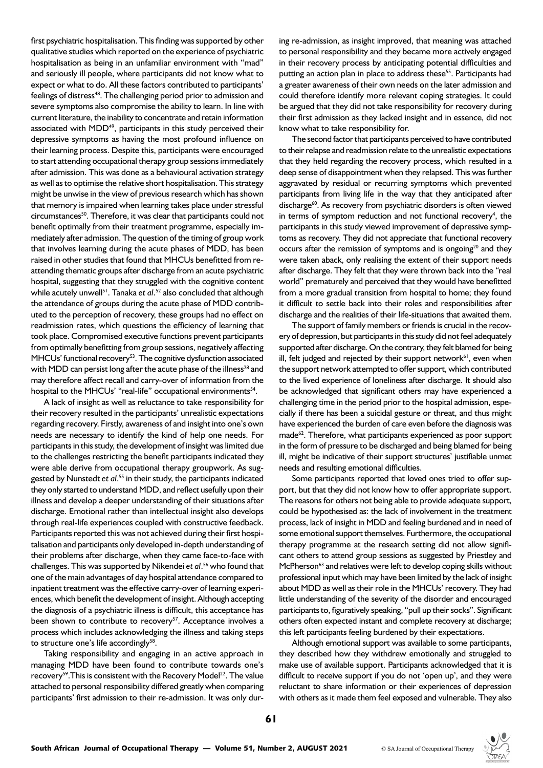first psychiatric hospitalisation. This finding was supported by other qualitative studies which reported on the experience of psychiatric hospitalisation as being in an unfamiliar environment with "mad" and seriously ill people, where participants did not know what to expect or what to do. All these factors contributed to participants' feelings of distress<sup>48</sup>. The challenging period prior to admission and severe symptoms also compromise the ability to learn. In line with current literature, the inability to concentrate and retain information associated with MDD<sup>49</sup>, participants in this study perceived their depressive symptoms as having the most profound influence on their learning process. Despite this, participants were encouraged to start attending occupational therapy group sessions immediately after admission. This was done as a behavioural activation strategy as well as to optimise the relative short hospitalisation. This strategy might be unwise in the view of previous research which has shown that memory is impaired when learning takes place under stressful circumstances<sup>50</sup>. Therefore, it was clear that participants could not benefit optimally from their treatment programme, especially immediately after admission. The question of the timing of group work that involves learning during the acute phases of MDD, has been raised in other studies that found that MHCUs benefitted from reattending thematic groups after discharge from an acute psychiatric hospital, suggesting that they struggled with the cognitive content while acutely unwell51. Tanaka *et al*. 52 also concluded that although the attendance of groups during the acute phase of MDD contributed to the perception of recovery, these groups had no effect on readmission rates, which questions the efficiency of learning that took place. Compromised executive functions prevent participants from optimally benefitting from group sessions, negatively affecting MHCUs' functional recovery<sup>53</sup>. The cognitive dysfunction associated with MDD can persist long after the acute phase of the illness<sup>28</sup> and may therefore affect recall and carry-over of information from the hospital to the MHCUs' "real-life" occupational environments<sup>54</sup>.

A lack of insight as well as reluctance to take responsibility for their recovery resulted in the participants' unrealistic expectations regarding recovery. Firstly, awareness of and insight into one's own needs are necessary to identify the kind of help one needs. For participants in this study, the development of insight was limited due to the challenges restricting the benefit participants indicated they were able derive from occupational therapy groupwork. As suggested by Nunstedt *et al*. 55 in their study, the participants indicated they only started to understand MDD, and reflect usefully upon their illness and develop a deeper understanding of their situations after discharge. Emotional rather than intellectual insight also develops through real-life experiences coupled with constructive feedback. Participants reported this was not achieved during their first hospitalisation and participants only developed in-depth understanding of their problems after discharge, when they came face-to-face with challenges. This was supported by Nikendei *et al*. 56 who found that one of the main advantages of day hospital attendance compared to inpatient treatment was the effective carry-over of learning experiences, which benefit the development of insight. Although accepting the diagnosis of a psychiatric illness is difficult, this acceptance has been shown to contribute to recovery<sup>57</sup>. Acceptance involves a process which includes acknowledging the illness and taking steps to structure one's life accordingly<sup>58</sup>.

Taking responsibility and engaging in an active approach in managing MDD have been found to contribute towards one's recovery<sup>59</sup>. This is consistent with the Recovery Model<sup>22</sup>. The value attached to personal responsibility differed greatly when comparing participants' first admission to their re-admission. It was only during re-admission, as insight improved, that meaning was attached to personal responsibility and they became more actively engaged in their recovery process by anticipating potential difficulties and putting an action plan in place to address these<sup>55</sup>. Participants had a greater awareness of their own needs on the later admission and could therefore identify more relevant coping strategies. It could be argued that they did not take responsibility for recovery during their first admission as they lacked insight and in essence, did not know what to take responsibility for.

The second factor that participants perceived to have contributed to their relapse and readmission relate to the unrealistic expectations that they held regarding the recovery process, which resulted in a deep sense of disappointment when they relapsed. This was further aggravated by residual or recurring symptoms which prevented participants from living life in the way that they anticipated after discharge<sup>60</sup>. As recovery from psychiatric disorders is often viewed in terms of symptom reduction and not functional recovery<sup>4</sup>, the participants in this study viewed improvement of depressive symptoms as recovery. They did not appreciate that functional recovery occurs after the remission of symptoms and is ongoing<sup>20</sup> and they were taken aback, only realising the extent of their support needs after discharge. They felt that they were thrown back into the "real world" prematurely and perceived that they would have benefitted from a more gradual transition from hospital to home; they found it difficult to settle back into their roles and responsibilities after discharge and the realities of their life-situations that awaited them.

The support of family members or friends is crucial in the recovery of depression, but participants in this study did not feel adequately supported after discharge. On the contrary, they felt blamed for being ill, felt judged and rejected by their support network<sup>61</sup>, even when the support network attempted to offer support, which contributed to the lived experience of loneliness after discharge. It should also be acknowledged that significant others may have experienced a challenging time in the period prior to the hospital admission, especially if there has been a suicidal gesture or threat, and thus might have experienced the burden of care even before the diagnosis was made<sup>62</sup>. Therefore, what participants experienced as poor support in the form of pressure to be discharged and being blamed for being ill, might be indicative of their support structures' justifiable unmet needs and resulting emotional difficulties.

Some participants reported that loved ones tried to offer support, but that they did not know how to offer appropriate support. The reasons for others not being able to provide adequate support, could be hypothesised as: the lack of involvement in the treatment process, lack of insight in MDD and feeling burdened and in need of some emotional support themselves. Furthermore, the occupational therapy programme at the research setting did not allow significant others to attend group sessions as suggested by Priestley and McPherson<sup>63</sup> and relatives were left to develop coping skills without professional input which may have been limited by the lack of insight about MDD as well as their role in the MHCUs' recovery. They had little understanding of the severity of the disorder and encouraged participants to, figuratively speaking, "pull up their socks". Significant others often expected instant and complete recovery at discharge; this left participants feeling burdened by their expectations.

Although emotional support was available to some participants, they described how they withdrew emotionally and struggled to make use of available support. Participants acknowledged that it is difficult to receive support if you do not 'open up', and they were reluctant to share information or their experiences of depression with others as it made them feel exposed and vulnerable. They also

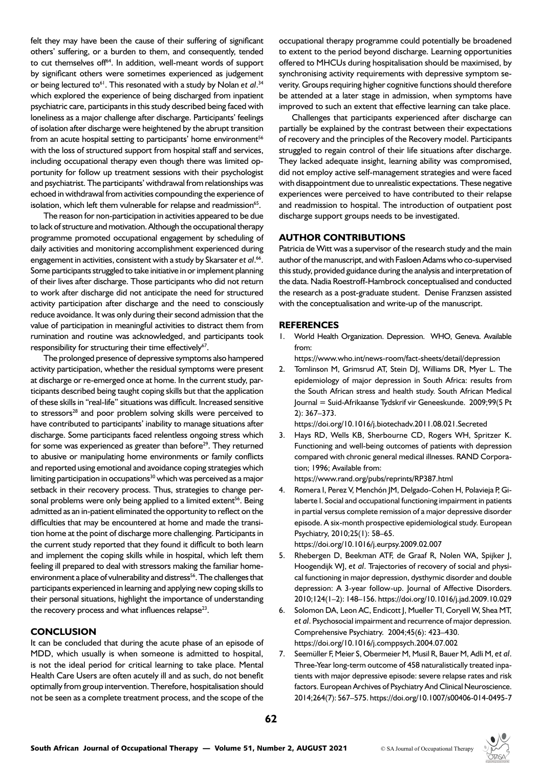felt they may have been the cause of their suffering of significant others' suffering, or a burden to them, and consequently, tended to cut themselves off<sup>64</sup>. In addition, well-meant words of support by significant others were sometimes experienced as judgement or being lectured to<sup>61</sup>. This resonated with a study by Nolan e*t al.*<sup>34</sup> which explored the experience of being discharged from inpatient psychiatric care, participants in this study described being faced with loneliness as a major challenge after discharge. Participants' feelings of isolation after discharge were heightened by the abrupt transition from an acute hospital setting to participants' home environment<sup>56</sup> with the loss of structured support from hospital staff and services, including occupational therapy even though there was limited opportunity for follow up treatment sessions with their psychologist and psychiatrist. The participants' withdrawal from relationships was echoed in withdrawal from activities compounding the experience of isolation, which left them vulnerable for relapse and readmission<sup>65</sup>.

The reason for non-participation in activities appeared to be due to lack of structure and motivation. Although the occupational therapy programme promoted occupational engagement by scheduling of daily activities and monitoring accomplishment experienced during engagement in activities, consistent with a study by Skarsater *et al*. 66. Some participants struggled to take initiative in or implement planning of their lives after discharge. Those participants who did not return to work after discharge did not anticipate the need for structured activity participation after discharge and the need to consciously reduce avoidance. It was only during their second admission that the value of participation in meaningful activities to distract them from rumination and routine was acknowledged, and participants took responsibility for structuring their time effectively<sup>67</sup>.

The prolonged presence of depressive symptoms also hampered activity participation, whether the residual symptoms were present at discharge or re-emerged once at home. In the current study, participants described being taught coping skills but that the application of these skills in "real-life" situations was difficult. Increased sensitive to stressors<sup>28</sup> and poor problem solving skills were perceived to have contributed to participants' inability to manage situations after discharge. Some participants faced relentless ongoing stress which for some was experienced as greater than before $2^9$ . They returned to abusive or manipulating home environments or family conflicts and reported using emotional and avoidance coping strategies which limiting participation in occupations $30$  which was perceived as a major setback in their recovery process. Thus, strategies to change personal problems were only being applied to a limited extent<sup>56</sup>. Being admitted as an in-patient eliminated the opportunity to reflect on the difficulties that may be encountered at home and made the transition home at the point of discharge more challenging. Participants in the current study reported that they found it difficult to both learn and implement the coping skills while in hospital, which left them feeling ill prepared to deal with stressors making the familiar homeenvironment a place of vulnerability and distress<sup>56</sup>. The challenges that participants experienced in learning and applying new coping skills to their personal situations, highlight the importance of understanding the recovery process and what influences relapse $^{23}$ .

#### **CONCLUSION**

It can be concluded that during the acute phase of an episode of MDD, which usually is when someone is admitted to hospital, is not the ideal period for critical learning to take place. Mental Health Care Users are often acutely ill and as such, do not benefit optimally from group intervention. Therefore, hospitalisation should not be seen as a complete treatment process, and the scope of the

occupational therapy programme could potentially be broadened to extent to the period beyond discharge. Learning opportunities offered to MHCUs during hospitalisation should be maximised, by synchronising activity requirements with depressive symptom severity. Groups requiring higher cognitive functions should therefore be attended at a later stage in admission, when symptoms have improved to such an extent that effective learning can take place.

Challenges that participants experienced after discharge can partially be explained by the contrast between their expectations of recovery and the principles of the Recovery model. Participants struggled to regain control of their life situations after discharge. They lacked adequate insight, learning ability was compromised, did not employ active self-management strategies and were faced with disappointment due to unrealistic expectations. These negative experiences were perceived to have contributed to their relapse and readmission to hospital. The introduction of outpatient post discharge support groups needs to be investigated.

## **AUTHOR CONTRIBUTIONS**

Patricia de Witt was a supervisor of the research study and the main author of the manuscript, and with Fasloen Adams who co-supervised this study, provided guidance during the analysis and interpretation of the data. Nadia Roestroff-Hambrock conceptualised and conducted the research as a post-graduate student. Denise Franzsen assisted with the conceptualisation and write-up of the manuscript.

#### **REFERENCES**

1. World Health Organization. Depression. WHO, Geneva. Available from:

https://www.who.int/news-room/fact-sheets/detail/depression

2. Tomlinson M, Grimsrud AT, Stein DJ, Williams DR, Myer L. The epidemiology of major depression in South Africa: results from the South African stress and health study. South African Medical Journal = Suid-Afrikaanse Tydskrif vir Geneeskunde. 2009;99(5 Pt 2): 367–373.

https://doi.org/10.1016/j.biotechadv.2011.08.021.Secreted

3. Hays RD, Wells KB, Sherbourne CD, Rogers WH, Spritzer K. Functioning and well-being outcomes of patients with depression compared with chronic general medical illnesses. RAND Corporation; 1996; Available from:

https://www.rand.org/pubs/reprints/RP387.html

4. Romera I, Perez V, Menchón JM, Delgado-Cohen H, Polavieja P, Gilaberte I. Social and occupational functioning impairment in patients in partial versus complete remission of a major depressive disorder episode. A six-month prospective epidemiological study. European Psychiatry, 2010;25(1): 58–65.

https://doi.org/10.1016/j.eurpsy.2009.02.007 5. Rhebergen D, Beekman ATF, de Graaf R, Nolen WA, Spijker J, Hoogendijk WJ, *et al*. Trajectories of recovery of social and physical functioning in major depression, dysthymic disorder and double depression: A 3-year follow-up. Journal of Affective Disorders. 2010;124(1–2): 148–156. https://doi.org/10.1016/j.jad.2009.10.029

- 6. Solomon DA, Leon AC, Endicott J, Mueller TI, Coryell W, Shea MT, *et al*. Psychosocial impairment and recurrence of major depression. Comprehensive Psychiatry. 2004;45(6): 423–430. https://doi.org/10.1016/j.comppsych.2004.07.002
- 7. Seemüller F, Meier S, Obermeier M, Musil R, Bauer M, Adli M, *et al*. Three-Year long-term outcome of 458 naturalistically treated inpatients with major depressive episode: severe relapse rates and risk factors. European Archives of Psychiatry And Clinical Neuroscience. 2014;264(7): 567–575. https://doi.org/10.1007/s00406-014-0495-7

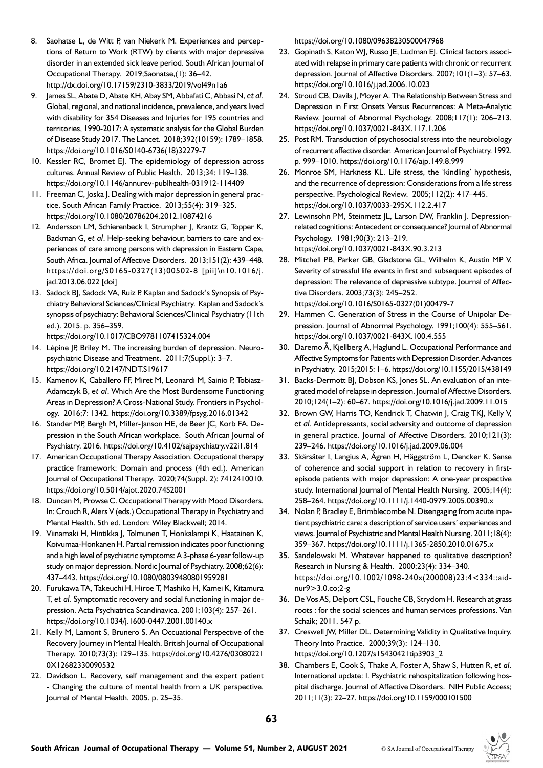- 8. Saohatse L, de Witt P, van Niekerk M. Experiences and perceptions of Return to Work (RTW) by clients with major depressive disorder in an extended sick leave period. South African Journal of Occupational Therapy. 2019;Saonatse,(1): 36–42. http://dx.doi.org/10.17159/2310-3833/2019/vol49n1a6
- 9. James SL, Abate D, Abate KH, Abay SM, Abbafati C, Abbasi N, *et al*. Global, regional, and national incidence, prevalence, and years lived with disability for 354 Diseases and Injuries for 195 countries and territories, 1990-2017: A systematic analysis for the Global Burden of Disease Study 2017. The Lancet. 2018;392(10159): 1789–1858. https://doi.org/10.1016/S0140-6736(18)32279-7
- 10. Kessler RC, Bromet EJ. The epidemiology of depression across cultures. Annual Review of Public Health. 2013;34: 119–138. https://doi.org/10.1146/annurev-publhealth-031912-114409
- 11. Freeman C, Joska J. Dealing with major depression in general practice. South African Family Practice. 2013;55(4): 319–325. https://doi.org/10.1080/20786204.2012.10874216
- 12. Andersson LM, Schierenbeck I, Strumpher J, Krantz G, Topper K, Backman G, *et al*. Help-seeking behaviour, barriers to care and experiences of care among persons with depression in Eastern Cape, South Africa. Journal of Affective Disorders. 2013;151(2): 439–448. https://doi.org/S0165-0327(13)00502-8 [pii]\n10.1016/j. jad.2013.06.022 [doi]
- 13. Sadock BJ, Sadock VA, Ruiz P. Kaplan and Sadock's Synopsis of Psychiatry Behavioral Sciences/Clinical Psychiatry. Kaplan and Sadock's synopsis of psychiatry: Behavioral Sciences/Clinical Psychiatry (11th ed.). 2015. p. 356–359.

https://doi.org/10.1017/CBO9781107415324.004

- 14. Lépine JP, Briley M. The increasing burden of depression. Neuropsychiatric Disease and Treatment. 2011;7(Suppl.): 3–7. https://doi.org/10.2147/NDT.S19617
- 15. Kamenov K, Caballero FF, Miret M, Leonardi M, Sainio P, Tobiasz-Adamczyk B, *et al*. Which Are the Most Burdensome Functioning Areas in Depression? A Cross-National Study. Frontiers in Psychology. 2016;7: 1342. https://doi.org/10.3389/fpsyg.2016.01342
- 16. Stander MP, Bergh M, Miller-Janson HE, de Beer JC, Korb FA. Depression in the South African workplace. South African Journal of Psychiatry. 2016. https://doi.org/10.4102/sajpsychiatry.v22i1.814
- 17. American Occupational Therapy Association. Occupational therapy practice framework: Domain and process (4th ed.). American Journal of Occupational Therapy. 2020;74(Suppl. 2): 7412410010. https://doi.org/10.5014/ajot.2020.74S2001
- 18. Duncan M, Prowse C. Occupational Therapy with Mood Disorders. In: Crouch R, Alers V (eds.) Occupational Therapy in Psychiatry and Mental Health. 5th ed. London: Wiley Blackwell; 2014.
- 19. Viinamaki H, Hintikka J, Tolmunen T, Honkalampi K, Haatainen K, Koivumaa-Honkanen H. Partial remission indicates poor functioning and a high level of psychiatric symptoms: A 3-phase 6-year follow-up study on major depression. Nordic Journal of Psychiatry. 2008;62(6): 437–443. https://doi.org/10.1080/08039480801959281
- 20. Furukawa TA, Takeuchi H, Hiroe T, Mashiko H, Kamei K, Kitamura T, *et al*. Symptomatic recovery and social functioning in major depression. Acta Psychiatrica Scandinavica. 2001;103(4): 257–261. https://doi.org/10.1034/j.1600-0447.2001.00140.x
- 21. Kelly M, Lamont S, Brunero S. An Occuational Perspective of the Recovery Journey in Mental Health. British Journal of Occupational Therapy. 2010;73(3): 129–135. https://doi.org/10.4276/03080221 0X12682330090532
- 22. Davidson L. Recovery, self management and the expert patient - Changing the culture of mental health from a UK perspective. Journal of Mental Health. 2005. p. 25–35.

https://doi.org/10.1080/09638230500047968

- 23. Gopinath S, Katon WJ, Russo JE, Ludman EJ. Clinical factors associated with relapse in primary care patients with chronic or recurrent depression. Journal of Affective Disorders. 2007;101(1-3): 57-63. https://doi.org/10.1016/j.jad.2006.10.023
- 24. Stroud CB, Davila J, Moyer A. The Relationship Between Stress and Depression in First Onsets Versus Recurrences: A Meta-Analytic Review. Journal of Abnormal Psychology. 2008;117(1): 206–213. https://doi.org/10.1037/0021-843X.117.1.206
- 25. Post RM. Transduction of psychosocial stress into the neurobiology of recurrent affective disorder. American Journal of Psychiatry. 1992. p. 999–1010. https://doi.org/10.1176/ajp.149.8.999
- 26. Monroe SM, Harkness KL. Life stress, the 'kindling' hypothesis, and the recurrence of depression: Considerations from a life stress perspective. Psychological Review. 2005;112(2): 417–445. https://doi.org/10.1037/0033-295X.112.2.417
- 27. Lewinsohn PM, Steinmetz JL, Larson DW, Franklin J. Depressionrelated cognitions: Antecedent or consequence? Journal of Abnormal Psychology. 1981;90(3): 213–219. https://doi.org/10.1037/0021-843X.90.3.213
- 28. Mitchell PB, Parker GB, Gladstone GL, Wilhelm K, Austin MP V. Severity of stressful life events in first and subsequent episodes of depression: The relevance of depressive subtype. Journal of Affective Disorders. 2003;73(3): 245–252. [https://doi.org/10.1016/S0165-0327\(01\)00479-7](https://doi.org/10.1016/S0165-0327(01)00479-7)
- 29. Hammen C. Generation of Stress in the Course of Unipolar Depression. Journal of Abnormal Psychology. 1991;100(4): 555-561. https://doi.org/10.1037/0021-843X.100.4.555
- 30. Daremo Å, Kjellberg A, Haglund L. Occupational Performance and Affective Symptoms for Patients with Depression Disorder. Advances in Psychiatry. 2015;2015: 1–6. https://doi.org/10.1155/2015/438149
- 31. Backs-Dermott BJ, Dobson KS, Jones SL. An evaluation of an integrated model of relapse in depression. Journal of Affective Disorders. 2010;124(1–2): 60–67. https://doi.org/10.1016/j.jad.2009.11.015
- 32. Brown GW, Harris TO, Kendrick T, Chatwin J, Craig TKJ, Kelly V, *et al*. Antidepressants, social adversity and outcome of depression in general practice. Journal of Affective Disorders. 2010;121(3): 239–246. https://doi.org/10.1016/j.jad.2009.06.004
- 33. Skärsäter I, Langius A, Ågren H, Häggström L, Dencker K. Sense of coherence and social support in relation to recovery in firstepisode patients with major depression: A one-year prospective study. International Journal of Mental Health Nursing. 2005;14(4): 258–264. https://doi.org/10.1111/j.1440-0979.2005.00390.x
- 34. Nolan P, Bradley E, Brimblecombe N. Disengaging from acute inpatient psychiatric care: a description of service users' experiences and views. Journal of Psychiatric and Mental Health Nursing. 2011;18(4): 359–367. https://doi.org/10.1111/j.1365-2850.2010.01675.x
- 35. Sandelowski M. Whatever happened to qualitative description? Research in Nursing & Health. 2000;23(4): 334–340. [https://doi.org/10.1002/1098-240x\(200008\)23:4<334::aid](https://doi.org/10.1002/1098-240x(200008)23:4<334::aid-nur9>3.0.co;2-g )[nur9>3.0.co;2-g](https://doi.org/10.1002/1098-240x(200008)23:4<334::aid-nur9>3.0.co;2-g )
- 36. De Vos AS, Delport CSL, Fouche CB, Strydom H. Research at grass roots : for the social sciences and human services professions. Van Schaik; 2011. 547 p.
- 37. Creswell JW, Miller DL. Determining Validity in Qualitative Inquiry. Theory Into Practice. 2000;39(3): 124–130. https://doi.org/10.1207/s15430421tip3903\_2
- 38. Chambers E, Cook S, Thake A, Foster A, Shaw S, Hutten R, *et al*. International update: I. Psychiatric rehospitalization following hospital discharge. Journal of Affective Disorders. NIH Public Access; 2011;11(3): 22–27. https://doi.org/10.1159/000101500